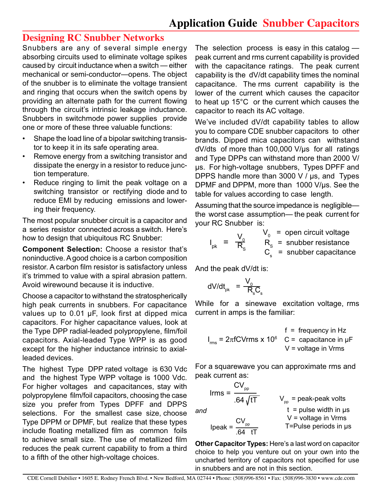## **Designing RC Snubber Networks**

Snubbers are any of several simple energy absorbing circuits used to eliminate voltage spikes caused by circuit inductance when a switch — either mechanical or semi-conductor—opens. The object of the snubber is to eliminate the voltage transient and ringing that occurs when the switch opens by providing an alternate path for the current flowing through the circuit's intrinsic leakage inductance. Snubbers in switchmode power supplies provide one or more of these three valuable functions:

- Shape the load line of a bipolar switching transistor to keep it in its safe operating area.
- Remove energy from a switching transistor and dissipate the energy in a resistor to reduce junction temperature.
- Reduce ringing to limit the peak voltage on a switching transistor or rectifying diode and to reduce EMI by reducing emissions and lowering their frequency.

The most popular snubber circuit is a capacitor and a series resistor connected across a switch. Here's how to design that ubiquitous RC Snubber:

**Component Selection:** Choose a resistor that's noninductive. A good choice is a carbon composition resistor. A carbon film resistor is satisfactory unless it's trimmed to value with a spiral abrasion pattern. Avoid wirewound because it is inductive.

Choose a capacitor to withstand the stratospherically high peak currents in snubbers. For capacitance values up to 0.01 µF, look first at dipped mica capacitors. For higher capacitance values, look at the Type DPP radial-leaded polypropylene, film/foil capacitors. Axial-leaded Type WPP is as good except for the higher inductance intrinsic to axialleaded devices.

The highest Type DPP rated voltage is 630 Vdc and the highest Type WPP voltage is 1000 Vdc. For higher voltages and capacitances, stay with polypropylene film/foil capacitors, choosing the case size you prefer from Types DPFF and DPPS selections. For the smallest case size, choose Type DPPM or DPMF, but realize that these types include floating metallized film as common foils to achieve small size. The use of metallized film reduces the peak current capability to from a third to a fifth of the other high-voltage choices.

The selection process is easy in this catalog peak current and rms current capability is provided with the capacitance ratings. The peak current capability is the dV/dt capability times the nominal capacitance. The rms current capability is the lower of the current which causes the capacitor to heat up 15°C or the current which causes the capacitor to reach its AC voltage.

We've included dV/dt capability tables to allow you to compare CDE snubber capacitors to other brands. Dipped mica capacitors can withstand dV/dts of more than 100,000 V/µs for all ratings and Type DPPs can withstand more than 2000 V/ µs. For high-voltage snubbers, Types DPFF and DPPS handle more than 3000 V / µs, and Types DPMF and DPPM, more than 1000 V/µs. See the table for values according to case length.

Assuming that the source impedance is negligible the worst case assumption— the peak current for your RC Snubber is:

$$
I_{pk} = \frac{V_0}{R_s} \qquad \begin{array}{l} V_0 = \text{ open circuit voltage} \\ R_s = \text{subber resistance} \\ C_s = \text{subber capacitance} \end{array}
$$

And the peak dV/dt is:

$$
dV/dt_{pk} = \frac{V_0}{R_s C_s}
$$

While for a sinewave excitation voltage, rms current in amps is the familiar:

$$
I_{\text{rms}} = 2\pi fCV\text{rms} \times 10^6 \quad C = \text{ capacitance in }\mu\text{F}
$$
\n
$$
V = \text{voltage in V}\text{rms}
$$

For a squarewave you can approximate rms and peak current as:

$$
Irms = \frac{CV_{\text{pp}}}{.64 \sqrt{tT}}
$$

*and*

| $64 \sqrt{t\overline{T}}$                                    | $V_{pp}$ = peak-peak volts           |
|--------------------------------------------------------------|--------------------------------------|
| $t$ = pulse width in $\mu$ s                                 |                                      |
| $V = \text{voltage in Vrms}$                                 |                                      |
| $1000 \text{ peak} = \frac{\text{CV}_{pp}}{0.64 \text{ tT}}$ | $T = \text{Pulse periods in } \mu$ s |

**Other Capacitor Types:** Here's a last word on capacitor choice to help you venture out on your own into the uncharted territory of capacitors not specified for use in snubbers and are not in this section.

CDE Cornell Dubilier · 1605 E. Rodney French Blvd. • New Bedford, MA 02744 · Phone: (508)996-8561 · Fax: (508)996-3830 · www.cde.com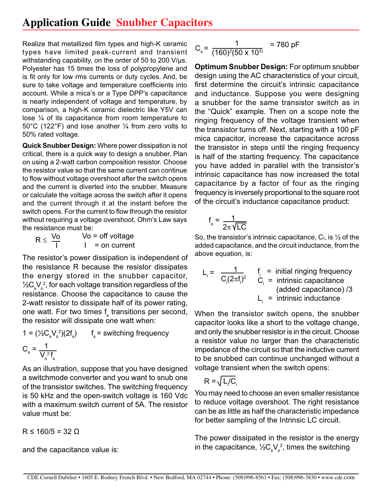## **Application Guide Snubber Capacitors**

Realize that metallized film types and high-K ceramic types have limited peak-current and transient withstanding capability, on the order of 50 to 200 V/µs. Polyester has 15 times the loss of polypropylene and is fit only for low rms currents or duty cycles. And, be sure to take voltage and temperature coefficients into account. While a mica's or a Type DPP's capacitance is nearly independent of voltage and temperature, by comparison, a high-K ceramic dielectric like Y5V can lose ¼ of its capacitance from room temperature to 50°C (122°F) and lose another ¼ from zero volts to 50% rated voltage.

**Quick Snubber Design:** Where power dissipation is not critical, there is a quick way to design a snubber. Plan on using a 2-watt carbon composition resistor. Choose the resistor value so that the same current can continue to flow without voltage overshoot after the switch opens and the current is diverted into the snubber. Measure or calculate the voltage across the switch after it opens and the current through it at the instant before the switch opens. For the current to flow through the resistor without requiring a voltage overshoot, Ohm's Law says the resistance must be:

| $R \leq \frac{V_0}{I}$ | $Vo = off$ voltage   |
|------------------------|----------------------|
|                        | $\vert$ = on current |

The resistor's power dissipation is independent of the resistance R because the resistor dissipates the energy stored in the snubber capacitor,  $\frac{1}{2}$ C $\mathrm{v_{\circ}^{\alpha}V_{\circ}^{\beta}}$ , for each voltage transition regardless of the resistance. Choose the capacitance to cause the 2-watt resistor to dissipate half of its power rating, one watt. For two times f<sub>s</sub> transitions per second, the resistor will dissipate one watt when:

1 = 
$$
(\frac{1}{2}C_sV_o^2)(2f_s)
$$
  $f_s$  = switching frequency  
\n $C_s = \frac{1}{V_o^2 f_s}$ 

As an illustration, suppose that you have designed a switchmode converter and you want to snub one of the transistor switches. The switching frequency is 50 kHz and the open-switch voltage is 160 Vdc with a maximum switch current of 5A. The resistor value must be:

 $R \le 160/5 = 32 \Omega$ 

and the capacitance value is:

$$
C_s = \frac{1}{(160)^2 (50 \times 10^3)} = 780 \text{ pF}
$$

**Optimum Snubber Design:** For optimum snubber design using the AC characteristics of your circuit, first determine the circuit's intrinsic capacitance and inductance. Suppose you were designing a snubber for the same transistor switch as in the "Quick" example. Then on a scope note the ringing frequency of the voltage transient when the transistor turns off. Next, starting with a 100 pF mica capacitor, increase the capacitance across the transistor in steps until the ringing frequency is half of the starting frequency. The capacitance you have added in parallel with the transistor's intrinsic capacitance has now increased the total capacitance by a factor of four as the ringing frequency is inversely proportional to the square root of the circuit's inductance capacitance product:

$$
f_{\circ} = \frac{1}{2\pi\sqrt{LC}}
$$

So, the transistor's intrinsic capacitance, Ci, is ⅓ of the added capacitance, and the circuit inductance, from the above equation, is:

$$
L_i = \frac{1}{C_i (2\pi f_i)^2}
$$
\n
$$
f_i = \text{initial ringing frequency}
$$
\n
$$
C_i = \text{intrinsic capacitance}
$$
\n(added capacitance) /3

\n
$$
L_i = \text{intrinsic inductance}
$$

When the transistor switch opens, the snubber capacitor looks like a short to the voltage change, and only the snubber resistor is in the circuit. Choose a resistor value no larger than the characteristic impedance of the circuit so that the inductive current to be snubbed can continue unchanged without a voltage transient when the switch opens:

$$
R = \sqrt{L_i/C_i}
$$

You may need to choose an even smaller resistance to reduce voltage overshoot. The right resistance can be as little as half the characteristic impedance for better sampling of the Intrinsic LC circuit.

The power dissipated in the resistor is the energy in the capacitance,  $\frac{1}{2}C_{\rm s} {\rm V}_{\rm o}^{\; 2}$ , times the switching